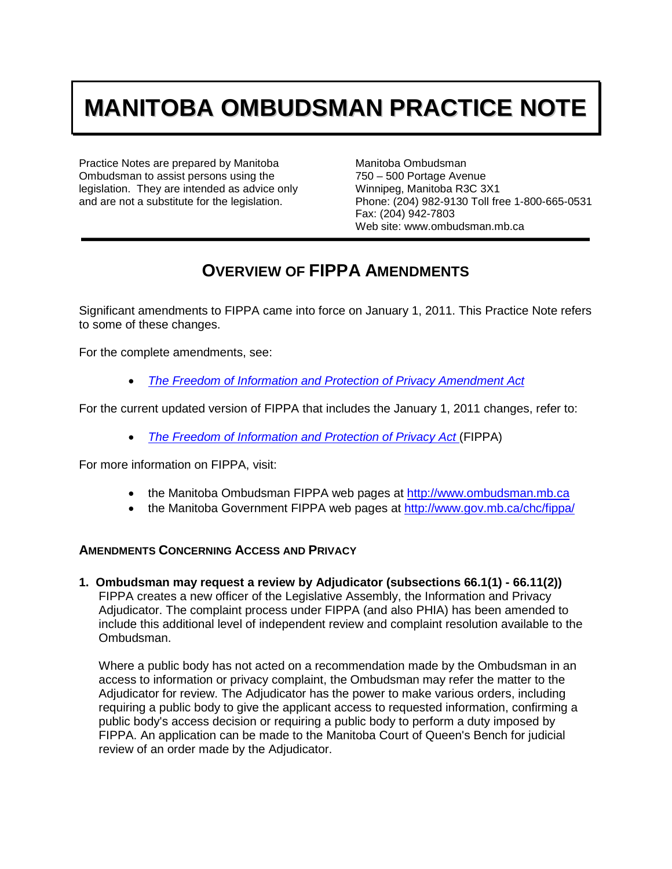# **MANITOBA OMBUDSMAN PRACTICE NOTE**

Practice Notes are prepared by Manitoba Ombudsman to assist persons using the legislation. They are intended as advice only and are not a substitute for the legislation.

Manitoba Ombudsman 750 – 500 Portage Avenue Winnipeg, Manitoba R3C 3X1 Phone: (204) 982-9130 Toll free 1-800-665-0531 Fax: (204) 942-7803 Web site: www.ombudsman.mb.ca

# **OVERVIEW OF FIPPA AMENDMENTS**

Significant amendments to FIPPA came into force on January 1, 2011. This Practice Note refers to some of these changes.

For the complete amendments, see:

• *[The Freedom of Information and Protection of Privacy Amendment Act](http://web2.gov.mb.ca/laws/statutes/2008/c04008e.php)*

For the current updated version of FIPPA that includes the January 1, 2011 changes, refer to:

• *[The Freedom of Information and Protection of Privacy Act](http://web2.gov.mb.ca/laws/statutes/ccsm/f175e.php)* (FIPPA)

For more information on FIPPA, visit:

- the Manitoba Ombudsman FIPPA web pages at [http://www.ombudsman.mb.ca](http://www.ombudsman.mb.ca/)
- the Manitoba Government FIPPA web pages at<http://www.gov.mb.ca/chc/fippa/>

# **AMENDMENTS CONCERNING ACCESS AND PRIVACY**

**1. Ombudsman may request a review by Adjudicator (subsections 66.1(1) - 66.11(2))** FIPPA creates a new officer of the Legislative Assembly, the Information and Privacy Adjudicator. The complaint process under FIPPA (and also PHIA) has been amended to include this additional level of independent review and complaint resolution available to the Ombudsman.

Where a public body has not acted on a recommendation made by the Ombudsman in an access to information or privacy complaint, the Ombudsman may refer the matter to the Adjudicator for review. The Adjudicator has the power to make various orders, including requiring a public body to give the applicant access to requested information, confirming a public body's access decision or requiring a public body to perform a duty imposed by FIPPA. An application can be made to the Manitoba Court of Queen's Bench for judicial review of an order made by the Adjudicator.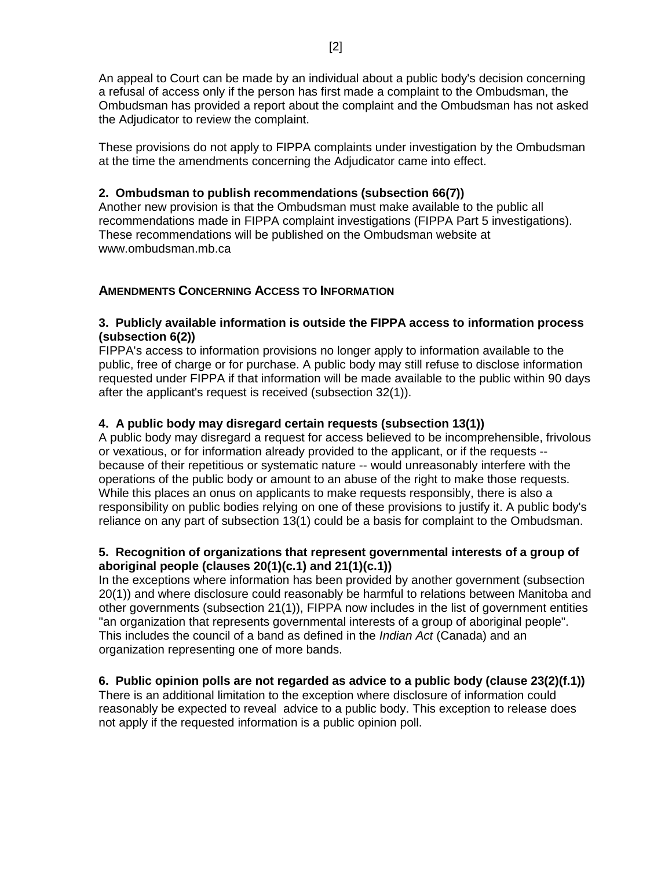An appeal to Court can be made by an individual about a public body's decision concerning a refusal of access only if the person has first made a complaint to the Ombudsman, the Ombudsman has provided a report about the complaint and the Ombudsman has not asked the Adjudicator to review the complaint.

These provisions do not apply to FIPPA complaints under investigation by the Ombudsman at the time the amendments concerning the Adjudicator came into effect.

# **2. Ombudsman to publish recommendations (subsection 66(7))**

Another new provision is that the Ombudsman must make available to the public all recommendations made in FIPPA complaint investigations (FIPPA Part 5 investigations). These recommendations will be published on the Ombudsman website at www.ombudsman.mb.ca

#### **AMENDMENTS CONCERNING ACCESS TO INFORMATION**

#### **3. Publicly available information is outside the FIPPA access to information process (subsection 6(2))**

FIPPA's access to information provisions no longer apply to information available to the public, free of charge or for purchase. A public body may still refuse to disclose information requested under FIPPA if that information will be made available to the public within 90 days after the applicant's request is received (subsection 32(1)).

# **4. A public body may disregard certain requests (subsection 13(1))**

A public body may disregard a request for access believed to be incomprehensible, frivolous or vexatious, or for information already provided to the applicant, or if the requests - because of their repetitious or systematic nature -- would unreasonably interfere with the operations of the public body or amount to an abuse of the right to make those requests. While this places an onus on applicants to make requests responsibly, there is also a responsibility on public bodies relying on one of these provisions to justify it. A public body's reliance on any part of subsection 13(1) could be a basis for complaint to the Ombudsman.

# **5. Recognition of organizations that represent governmental interests of a group of aboriginal people (clauses 20(1)(c.1) and 21(1)(c.1))**

In the exceptions where information has been provided by another government (subsection 20(1)) and where disclosure could reasonably be harmful to relations between Manitoba and other governments (subsection 21(1)), FIPPA now includes in the list of government entities "an organization that represents governmental interests of a group of aboriginal people". This includes the council of a band as defined in the *Indian Act* (Canada) and an organization representing one of more bands.

# **6. Public opinion polls are not regarded as advice to a public body (clause 23(2)(f.1))**

There is an additional limitation to the exception where disclosure of information could reasonably be expected to reveal advice to a public body. This exception to release does not apply if the requested information is a public opinion poll.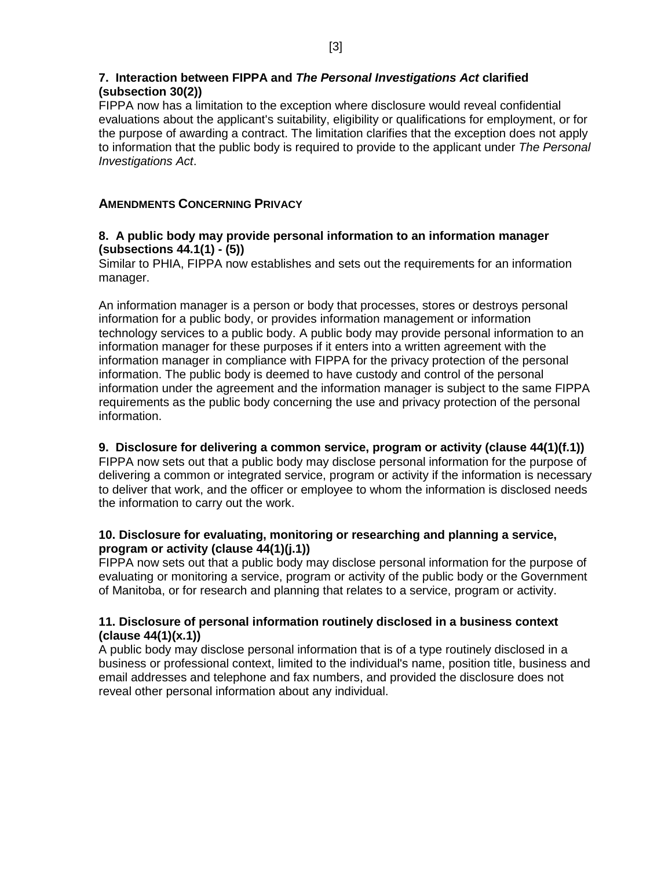# **7. Interaction between FIPPA and** *The Personal Investigations Act* **clarified (subsection 30(2))**

FIPPA now has a limitation to the exception where disclosure would reveal confidential evaluations about the applicant's suitability, eligibility or qualifications for employment, or for the purpose of awarding a contract. The limitation clarifies that the exception does not apply to information that the public body is required to provide to the applicant under *The Personal Investigations Act*.

# **AMENDMENTS CONCERNING PRIVACY**

# **8. A public body may provide personal information to an information manager (subsections 44.1(1) - (5))**

Similar to PHIA, FIPPA now establishes and sets out the requirements for an information manager.

An information manager is a person or body that processes, stores or destroys personal information for a public body, or provides information management or information technology services to a public body. A public body may provide personal information to an information manager for these purposes if it enters into a written agreement with the information manager in compliance with FIPPA for the privacy protection of the personal information. The public body is deemed to have custody and control of the personal information under the agreement and the information manager is subject to the same FIPPA requirements as the public body concerning the use and privacy protection of the personal information.

# **9. Disclosure for delivering a common service, program or activity (clause 44(1)(f.1))**

FIPPA now sets out that a public body may disclose personal information for the purpose of delivering a common or integrated service, program or activity if the information is necessary to deliver that work, and the officer or employee to whom the information is disclosed needs the information to carry out the work.

# **10. Disclosure for evaluating, monitoring or researching and planning a service, program or activity (clause 44(1)(j.1))**

FIPPA now sets out that a public body may disclose personal information for the purpose of evaluating or monitoring a service, program or activity of the public body or the Government of Manitoba, or for research and planning that relates to a service, program or activity.

# **11. Disclosure of personal information routinely disclosed in a business context (clause 44(1)(x.1))**

A public body may disclose personal information that is of a type routinely disclosed in a business or professional context, limited to the individual's name, position title, business and email addresses and telephone and fax numbers, and provided the disclosure does not reveal other personal information about any individual.